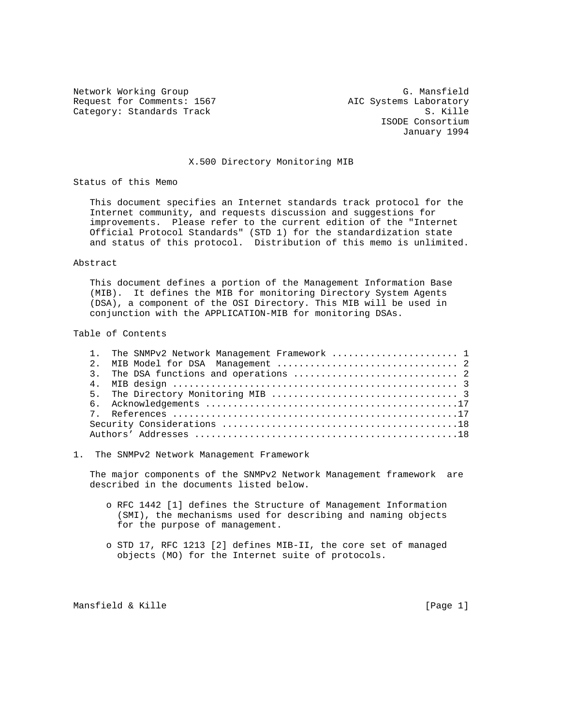Network Working Group G. Mansfield Request for Comments: 1567 AIC Systems Laboratory Category: Standards Track S. Kille

 ISODE Consortium January 1994

## X.500 Directory Monitoring MIB

Status of this Memo

 This document specifies an Internet standards track protocol for the Internet community, and requests discussion and suggestions for improvements. Please refer to the current edition of the "Internet Official Protocol Standards" (STD 1) for the standardization state and status of this protocol. Distribution of this memo is unlimited.

#### Abstract

 This document defines a portion of the Management Information Base (MIB). It defines the MIB for monitoring Directory System Agents (DSA), a component of the OSI Directory. This MIB will be used in conjunction with the APPLICATION-MIB for monitoring DSAs.

## Table of Contents

|  | 1. The SNMPv2 Network Management Framework  1 |
|--|-----------------------------------------------|
|  |                                               |
|  |                                               |
|  |                                               |
|  |                                               |
|  |                                               |
|  |                                               |
|  |                                               |
|  |                                               |

#### 1. The SNMPv2 Network Management Framework

 The major components of the SNMPv2 Network Management framework are described in the documents listed below.

- o RFC 1442 [1] defines the Structure of Management Information (SMI), the mechanisms used for describing and naming objects for the purpose of management.
- o STD 17, RFC 1213 [2] defines MIB-II, the core set of managed objects (MO) for the Internet suite of protocols.

Mansfield & Kille [Page 1]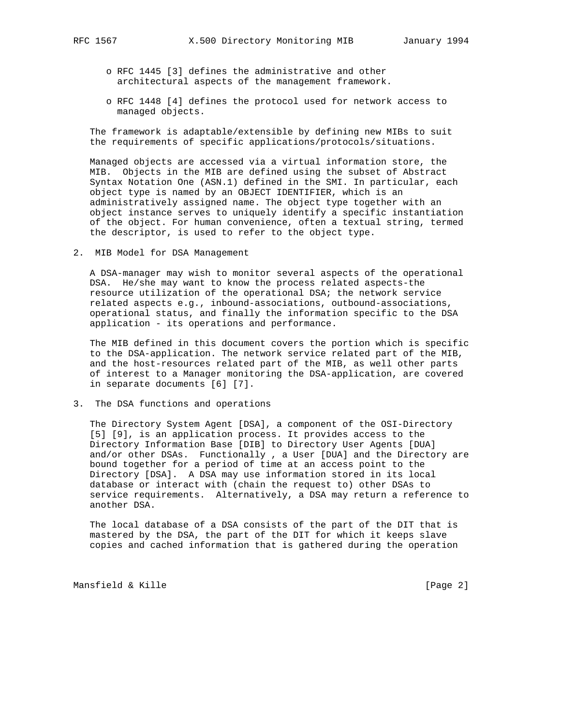- - o RFC 1445 [3] defines the administrative and other architectural aspects of the management framework.
	- o RFC 1448 [4] defines the protocol used for network access to managed objects.

 The framework is adaptable/extensible by defining new MIBs to suit the requirements of specific applications/protocols/situations.

 Managed objects are accessed via a virtual information store, the MIB. Objects in the MIB are defined using the subset of Abstract Syntax Notation One (ASN.1) defined in the SMI. In particular, each object type is named by an OBJECT IDENTIFIER, which is an administratively assigned name. The object type together with an object instance serves to uniquely identify a specific instantiation of the object. For human convenience, often a textual string, termed the descriptor, is used to refer to the object type.

2. MIB Model for DSA Management

 A DSA-manager may wish to monitor several aspects of the operational DSA. He/she may want to know the process related aspects-the resource utilization of the operational DSA; the network service related aspects e.g., inbound-associations, outbound-associations, operational status, and finally the information specific to the DSA application - its operations and performance.

 The MIB defined in this document covers the portion which is specific to the DSA-application. The network service related part of the MIB, and the host-resources related part of the MIB, as well other parts of interest to a Manager monitoring the DSA-application, are covered in separate documents [6] [7].

3. The DSA functions and operations

 The Directory System Agent [DSA], a component of the OSI-Directory [5] [9], is an application process. It provides access to the Directory Information Base [DIB] to Directory User Agents [DUA] and/or other DSAs. Functionally , a User [DUA] and the Directory are bound together for a period of time at an access point to the Directory [DSA]. A DSA may use information stored in its local database or interact with (chain the request to) other DSAs to service requirements. Alternatively, a DSA may return a reference to another DSA.

 The local database of a DSA consists of the part of the DIT that is mastered by the DSA, the part of the DIT for which it keeps slave copies and cached information that is gathered during the operation

Mansfield & Kille [Page 2]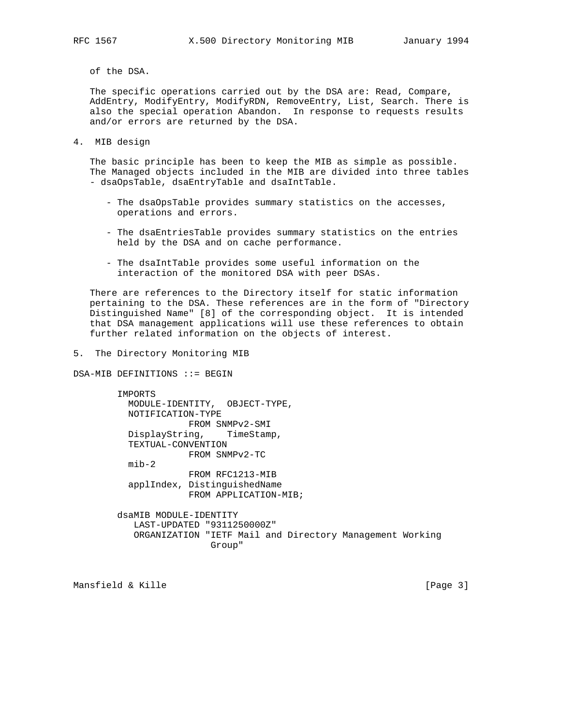of the DSA.

 The specific operations carried out by the DSA are: Read, Compare, AddEntry, ModifyEntry, ModifyRDN, RemoveEntry, List, Search. There is also the special operation Abandon. In response to requests results and/or errors are returned by the DSA.

4. MIB design

 The basic principle has been to keep the MIB as simple as possible. The Managed objects included in the MIB are divided into three tables - dsaOpsTable, dsaEntryTable and dsaIntTable.

- The dsaOpsTable provides summary statistics on the accesses, operations and errors.
- The dsaEntriesTable provides summary statistics on the entries held by the DSA and on cache performance.
- The dsaIntTable provides some useful information on the interaction of the monitored DSA with peer DSAs.

 There are references to the Directory itself for static information pertaining to the DSA. These references are in the form of "Directory Distinguished Name" [8] of the corresponding object. It is intended that DSA management applications will use these references to obtain further related information on the objects of interest.

5. The Directory Monitoring MIB

DSA-MIB DEFINITIONS ::= BEGIN

 IMPORTS MODULE-IDENTITY, OBJECT-TYPE, NOTIFICATION-TYPE FROM SNMPv2-SMI DisplayString, TimeStamp, TEXTUAL-CONVENTION FROM SNMPv2-TC mib-2 FROM RFC1213-MIB applIndex, DistinguishedName FROM APPLICATION-MIB;

 dsaMIB MODULE-IDENTITY LAST-UPDATED "9311250000Z" ORGANIZATION "IETF Mail and Directory Management Working Group"

Mansfield & Kille [Page 3]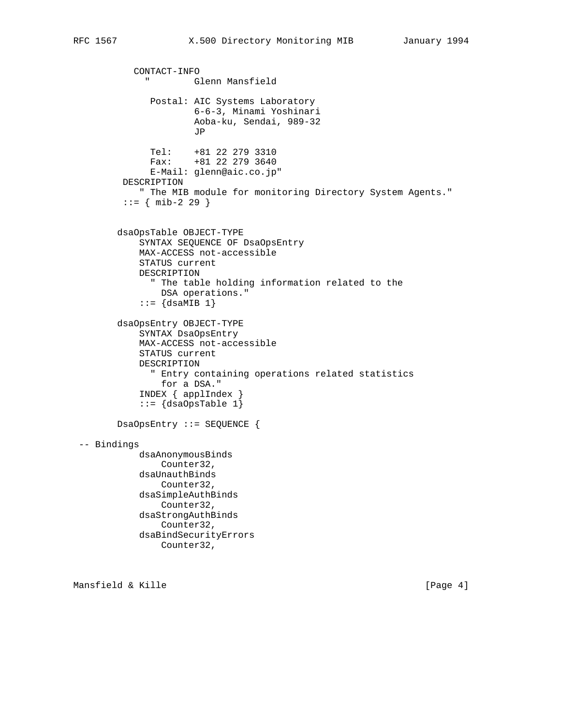```
 CONTACT-INFO
              " Glenn Mansfield
               Postal: AIC Systems Laboratory
                       6-6-3, Minami Yoshinari
                       Aoba-ku, Sendai, 989-32
JP
               Tel: +81 22 279 3310
               Fax: +81 22 279 3640
               E-Mail: glenn@aic.co.jp"
         DESCRIPTION
             " The MIB module for monitoring Directory System Agents."
         ::= { mib-2 29 }
        dsaOpsTable OBJECT-TYPE
            SYNTAX SEQUENCE OF DsaOpsEntry
            MAX-ACCESS not-accessible
            STATUS current
            DESCRIPTION
               " The table holding information related to the
                DSA operations."
            ::= \{dsaMIB 1\} dsaOpsEntry OBJECT-TYPE
            SYNTAX DsaOpsEntry
            MAX-ACCESS not-accessible
            STATUS current
            DESCRIPTION
               " Entry containing operations related statistics
                for a DSA."
             INDEX { applIndex }
            ::= \{dsaOpsTable 1\} DsaOpsEntry ::= SEQUENCE {
 -- Bindings
            dsaAnonymousBinds
                Counter32,
            dsaUnauthBinds
                Counter32,
            dsaSimpleAuthBinds
                Counter32,
            dsaStrongAuthBinds
                Counter32,
            dsaBindSecurityErrors
                Counter32,
```
Mansfield & Kille [Page 4]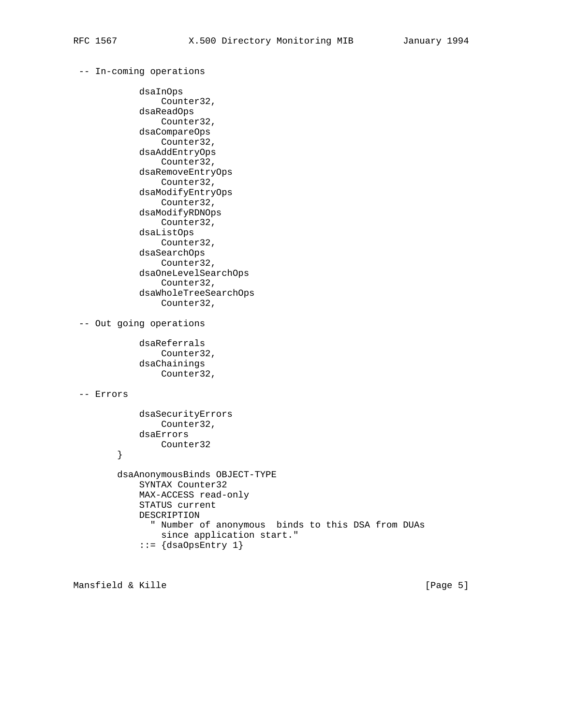# -- In-coming operations

```
 dsaInOps
                 Counter32,
             dsaReadOps
                 Counter32,
             dsaCompareOps
                Counter32,
             dsaAddEntryOps
                Counter32,
             dsaRemoveEntryOps
                 Counter32,
             dsaModifyEntryOps
                 Counter32,
             dsaModifyRDNOps
                 Counter32,
             dsaListOps
                 Counter32,
             dsaSearchOps
                 Counter32,
             dsaOneLevelSearchOps
                 Counter32,
             dsaWholeTreeSearchOps
                 Counter32,
 -- Out going operations
            dsaReferrals
                 Counter32,
             dsaChainings
```

```
 Counter32,
```
## -- Errors

```
 dsaSecurityErrors
        Counter32,
     dsaErrors
        Counter32
 }
 dsaAnonymousBinds OBJECT-TYPE
     SYNTAX Counter32
     MAX-ACCESS read-only
     STATUS current
     DESCRIPTION
       " Number of anonymous binds to this DSA from DUAs
         since application start."
    ::= {dsaOpsEntry 1}
```
Mansfield & Kille [Page 5]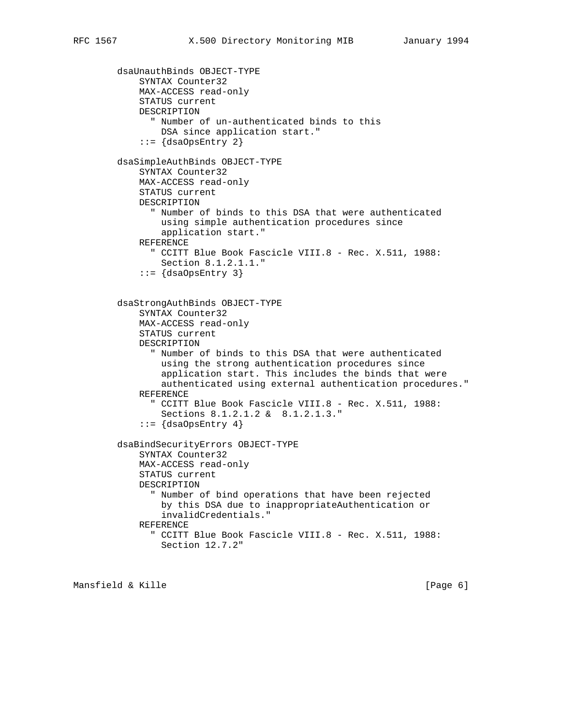```
 dsaUnauthBinds OBJECT-TYPE
     SYNTAX Counter32
     MAX-ACCESS read-only
     STATUS current
     DESCRIPTION
       " Number of un-authenticated binds to this
         DSA since application start."
     ::= {dsaOpsEntry 2}
 dsaSimpleAuthBinds OBJECT-TYPE
     SYNTAX Counter32
     MAX-ACCESS read-only
     STATUS current
     DESCRIPTION
       " Number of binds to this DSA that were authenticated
         using simple authentication procedures since
         application start."
     REFERENCE
       " CCITT Blue Book Fascicle VIII.8 - Rec. X.511, 1988:
         Section 8.1.2.1.1."
    ::= \{dsaOpsEntry\} dsaStrongAuthBinds OBJECT-TYPE
     SYNTAX Counter32
     MAX-ACCESS read-only
     STATUS current
     DESCRIPTION
       " Number of binds to this DSA that were authenticated
         using the strong authentication procedures since
         application start. This includes the binds that were
         authenticated using external authentication procedures."
     REFERENCE
       " CCITT Blue Book Fascicle VIII.8 - Rec. X.511, 1988:
         Sections 8.1.2.1.2 & 8.1.2.1.3."
    ::= \{dsaOpsEntry 4\} dsaBindSecurityErrors OBJECT-TYPE
     SYNTAX Counter32
     MAX-ACCESS read-only
     STATUS current
     DESCRIPTION
       " Number of bind operations that have been rejected
         by this DSA due to inappropriateAuthentication or
         invalidCredentials."
     REFERENCE
       " CCITT Blue Book Fascicle VIII.8 - Rec. X.511, 1988:
         Section 12.7.2"
```
Mansfield & Kille [Page 6]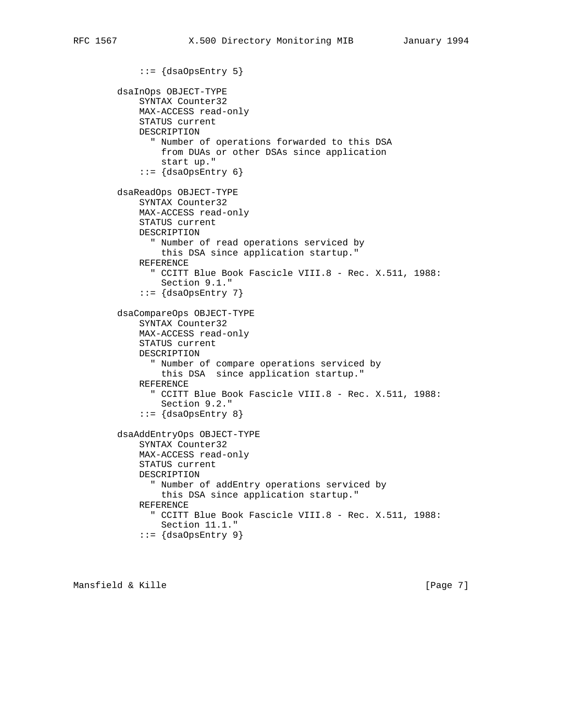```
 ::= {dsaOpsEntry 5}
 dsaInOps OBJECT-TYPE
     SYNTAX Counter32
     MAX-ACCESS read-only
     STATUS current
     DESCRIPTION
       " Number of operations forwarded to this DSA
         from DUAs or other DSAs since application
         start up."
    ::= \{dsaOpsEntry 6\} dsaReadOps OBJECT-TYPE
     SYNTAX Counter32
     MAX-ACCESS read-only
     STATUS current
     DESCRIPTION
       " Number of read operations serviced by
         this DSA since application startup."
     REFERENCE
       " CCITT Blue Book Fascicle VIII.8 - Rec. X.511, 1988:
         Section 9.1."
    ::= \{dsaOpsEntry 7\} dsaCompareOps OBJECT-TYPE
     SYNTAX Counter32
     MAX-ACCESS read-only
     STATUS current
     DESCRIPTION
       " Number of compare operations serviced by
         this DSA since application startup."
     REFERENCE
       " CCITT Blue Book Fascicle VIII.8 - Rec. X.511, 1988:
         Section 9.2."
    ::= \{dsaOpsEntry 8\} dsaAddEntryOps OBJECT-TYPE
     SYNTAX Counter32
     MAX-ACCESS read-only
     STATUS current
     DESCRIPTION
       " Number of addEntry operations serviced by
         this DSA since application startup."
     REFERENCE
       " CCITT Blue Book Fascicle VIII.8 - Rec. X.511, 1988:
         Section 11.1."
```

```
::= \{dsaOpsEntry 9\}
```
Mansfield & Kille [Page 7]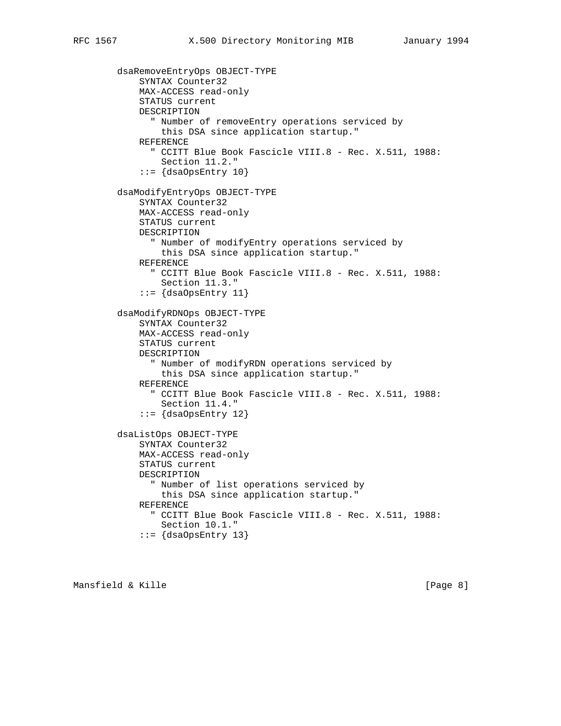```
 dsaRemoveEntryOps OBJECT-TYPE
     SYNTAX Counter32
     MAX-ACCESS read-only
     STATUS current
     DESCRIPTION
       " Number of removeEntry operations serviced by
         this DSA since application startup."
     REFERENCE
       " CCITT Blue Book Fascicle VIII.8 - Rec. X.511, 1988:
         Section 11.2."
    ::= \{dsaOpsEntry 10\} dsaModifyEntryOps OBJECT-TYPE
     SYNTAX Counter32
     MAX-ACCESS read-only
     STATUS current
     DESCRIPTION
       " Number of modifyEntry operations serviced by
         this DSA since application startup."
     REFERENCE
       " CCITT Blue Book Fascicle VIII.8 - Rec. X.511, 1988:
         Section 11.3."
    ::= \{dsaOpsEntry 11\} dsaModifyRDNOps OBJECT-TYPE
     SYNTAX Counter32
     MAX-ACCESS read-only
     STATUS current
     DESCRIPTION
       " Number of modifyRDN operations serviced by
         this DSA since application startup."
     REFERENCE
       " CCITT Blue Book Fascicle VIII.8 - Rec. X.511, 1988:
         Section 11.4."
    ::= \{dsaOpsEntry 12\} dsaListOps OBJECT-TYPE
     SYNTAX Counter32
     MAX-ACCESS read-only
     STATUS current
     DESCRIPTION
       " Number of list operations serviced by
         this DSA since application startup."
     REFERENCE
       " CCITT Blue Book Fascicle VIII.8 - Rec. X.511, 1988:
         Section 10.1."
    ::= \{dsaOpsEntry 13\}
```
Mansfield & Kille [Page 8]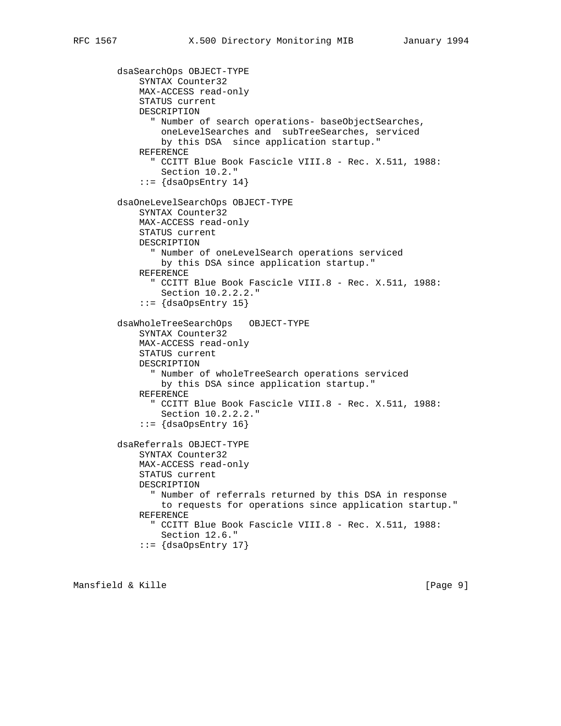```
 dsaSearchOps OBJECT-TYPE
     SYNTAX Counter32
     MAX-ACCESS read-only
     STATUS current
     DESCRIPTION
       " Number of search operations- baseObjectSearches,
         oneLevelSearches and subTreeSearches, serviced
         by this DSA since application startup."
     REFERENCE
       " CCITT Blue Book Fascicle VIII.8 - Rec. X.511, 1988:
         Section 10.2."
    ::= {dsaOpsEntry 14}
 dsaOneLevelSearchOps OBJECT-TYPE
     SYNTAX Counter32
     MAX-ACCESS read-only
     STATUS current
     DESCRIPTION
       " Number of oneLevelSearch operations serviced
         by this DSA since application startup."
     REFERENCE
       " CCITT Blue Book Fascicle VIII.8 - Rec. X.511, 1988:
         Section 10.2.2.2."
    ::= \{dsaOpsEntry 15\} dsaWholeTreeSearchOps OBJECT-TYPE
     SYNTAX Counter32
     MAX-ACCESS read-only
     STATUS current
     DESCRIPTION
       " Number of wholeTreeSearch operations serviced
         by this DSA since application startup."
     REFERENCE
       " CCITT Blue Book Fascicle VIII.8 - Rec. X.511, 1988:
         Section 10.2.2.2."
    ::= {dsaOpsEntry 16}
 dsaReferrals OBJECT-TYPE
     SYNTAX Counter32
     MAX-ACCESS read-only
     STATUS current
     DESCRIPTION
       " Number of referrals returned by this DSA in response
         to requests for operations since application startup."
     REFERENCE
       " CCITT Blue Book Fascicle VIII.8 - Rec. X.511, 1988:
         Section 12.6."
    ::= {dsaOpsEntry 17}
```
Mansfield & Kille [Page 9]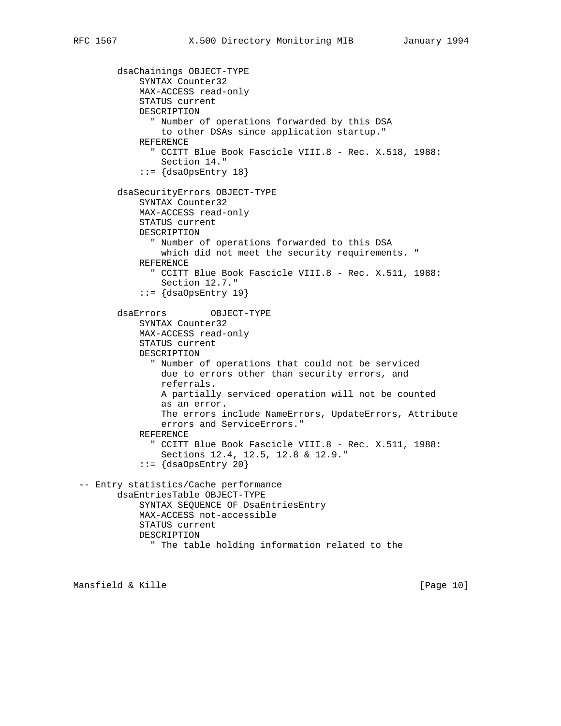```
 dsaChainings OBJECT-TYPE
            SYNTAX Counter32
            MAX-ACCESS read-only
            STATUS current
            DESCRIPTION
              " Number of operations forwarded by this DSA
                to other DSAs since application startup."
            REFERENCE
              " CCITT Blue Book Fascicle VIII.8 - Rec. X.518, 1988:
                Section 14."
           ::= \{dsaOpsEntry 18\} dsaSecurityErrors OBJECT-TYPE
            SYNTAX Counter32
            MAX-ACCESS read-only
            STATUS current
            DESCRIPTION
              " Number of operations forwarded to this DSA
                which did not meet the security requirements. "
            REFERENCE
              " CCITT Blue Book Fascicle VIII.8 - Rec. X.511, 1988:
                Section 12.7."
           ::= \{dsaOpsEntry 19\} dsaErrors OBJECT-TYPE
            SYNTAX Counter32
            MAX-ACCESS read-only
            STATUS current
            DESCRIPTION
              " Number of operations that could not be serviced
                due to errors other than security errors, and
                referrals.
                A partially serviced operation will not be counted
                as an error.
                The errors include NameErrors, UpdateErrors, Attribute
                errors and ServiceErrors."
            REFERENCE
              " CCITT Blue Book Fascicle VIII.8 - Rec. X.511, 1988:
                Sections 12.4, 12.5, 12.8 & 12.9."
            ::= {dsaOpsEntry 20}
 -- Entry statistics/Cache performance
        dsaEntriesTable OBJECT-TYPE
            SYNTAX SEQUENCE OF DsaEntriesEntry
            MAX-ACCESS not-accessible
            STATUS current
            DESCRIPTION
              " The table holding information related to the
```
Mansfield & Kille [Page 10]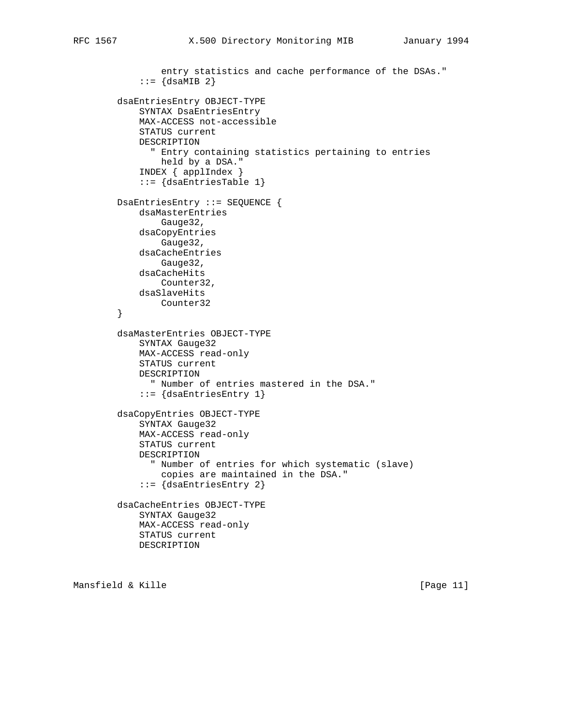```
 entry statistics and cache performance of the DSAs."
    ::= \{dsaMIB 2\} dsaEntriesEntry OBJECT-TYPE
     SYNTAX DsaEntriesEntry
     MAX-ACCESS not-accessible
     STATUS current
     DESCRIPTION
       " Entry containing statistics pertaining to entries
        held by a DSA."
     INDEX { applIndex }
     ::= {dsaEntriesTable 1}
 DsaEntriesEntry ::= SEQUENCE {
     dsaMasterEntries
         Gauge32,
     dsaCopyEntries
         Gauge32,
     dsaCacheEntries
         Gauge32,
     dsaCacheHits
         Counter32,
     dsaSlaveHits
        Counter32
 }
 dsaMasterEntries OBJECT-TYPE
     SYNTAX Gauge32
     MAX-ACCESS read-only
     STATUS current
     DESCRIPTION
       " Number of entries mastered in the DSA."
     ::= {dsaEntriesEntry 1}
 dsaCopyEntries OBJECT-TYPE
     SYNTAX Gauge32
     MAX-ACCESS read-only
     STATUS current
     DESCRIPTION
       " Number of entries for which systematic (slave)
         copies are maintained in the DSA."
     ::= {dsaEntriesEntry 2}
 dsaCacheEntries OBJECT-TYPE
     SYNTAX Gauge32
     MAX-ACCESS read-only
     STATUS current
     DESCRIPTION
```
Mansfield & Kille [Page 11]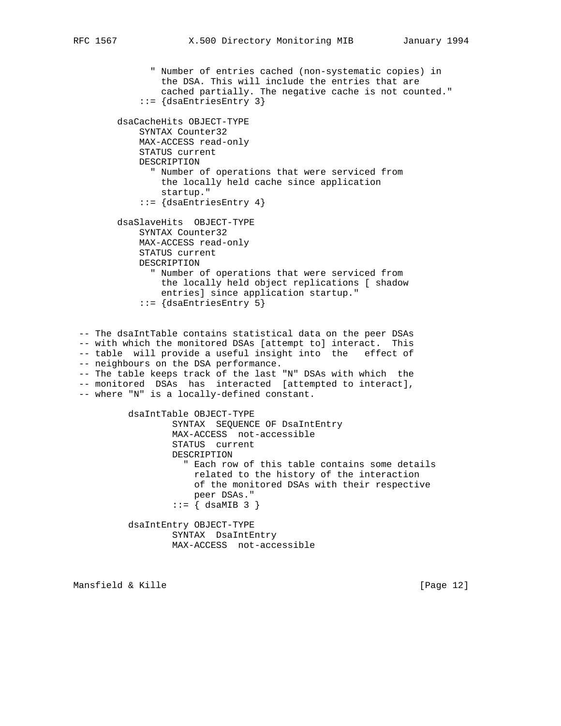" Number of entries cached (non-systematic copies) in the DSA. This will include the entries that are cached partially. The negative cache is not counted." ::= {dsaEntriesEntry 3} dsaCacheHits OBJECT-TYPE SYNTAX Counter32 MAX-ACCESS read-only STATUS current DESCRIPTION " Number of operations that were serviced from the locally held cache since application startup." ::= {dsaEntriesEntry 4} dsaSlaveHits OBJECT-TYPE SYNTAX Counter32 MAX-ACCESS read-only STATUS current DESCRIPTION " Number of operations that were serviced from the locally held object replications [ shadow entries] since application startup."

```
 ::= {dsaEntriesEntry 5}
```
 -- The dsaIntTable contains statistical data on the peer DSAs -- with which the monitored DSAs [attempt to] interact. This -- table will provide a useful insight into the effect of -- neighbours on the DSA performance. -- The table keeps track of the last "N" DSAs with which the -- monitored DSAs has interacted [attempted to interact], -- where "N" is a locally-defined constant. dsaIntTable OBJECT-TYPE

 SYNTAX SEQUENCE OF DsaIntEntry MAX-ACCESS not-accessible STATUS current DESCRIPTION " Each row of this table contains some details related to the history of the interaction of the monitored DSAs with their respective peer DSAs."  $::=$   $\{$  dsaMIB 3  $\}$ dsaIntEntry OBJECT-TYPE

 SYNTAX DsaIntEntry MAX-ACCESS not-accessible

Mansfield & Kille [Page 12]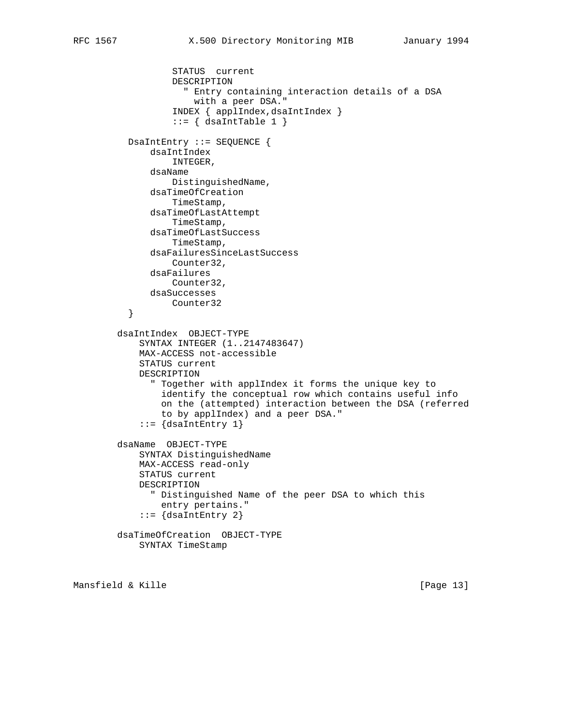```
 STATUS current
                   DESCRIPTION
                     " Entry containing interaction details of a DSA
                       with a peer DSA."
                   INDEX { applIndex,dsaIntIndex }
                  ::= { dsaIntTable 1 }
           DsaIntEntry ::= SEQUENCE {
               dsaIntIndex
                   INTEGER,
               dsaName
                   DistinguishedName,
               dsaTimeOfCreation
                   TimeStamp,
               dsaTimeOfLastAttempt
                   TimeStamp,
               dsaTimeOfLastSuccess
                   TimeStamp,
               dsaFailuresSinceLastSuccess
                  Counter32,
               dsaFailures
                  Counter32,
               dsaSuccesses
           Counter32
 }
         dsaIntIndex OBJECT-TYPE
             SYNTAX INTEGER (1..2147483647)
             MAX-ACCESS not-accessible
             STATUS current
             DESCRIPTION
               " Together with applIndex it forms the unique key to
                 identify the conceptual row which contains useful info
                 on the (attempted) interaction between the DSA (referred
                 to by applIndex) and a peer DSA."
            ::= {dsaIntEntry 1}
         dsaName OBJECT-TYPE
             SYNTAX DistinguishedName
             MAX-ACCESS read-only
             STATUS current
             DESCRIPTION
               " Distinguished Name of the peer DSA to which this
                 entry pertains."
             ::= {dsaIntEntry 2}
        dsaTimeOfCreation OBJECT-TYPE
             SYNTAX TimeStamp
```
Mansfield & Kille [Page 13]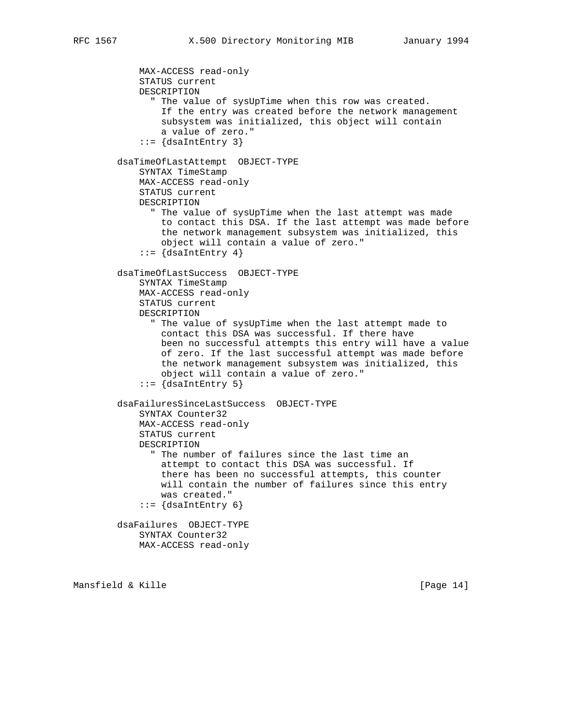MAX-ACCESS read-only STATUS current DESCRIPTION " The value of sysUpTime when this row was created. If the entry was created before the network management subsystem was initialized, this object will contain a value of zero."  $::=$   $\{dsalntEntry \}$  dsaTimeOfLastAttempt OBJECT-TYPE SYNTAX TimeStamp MAX-ACCESS read-only STATUS current DESCRIPTION " The value of sysUpTime when the last attempt was made to contact this DSA. If the last attempt was made before the network management subsystem was initialized, this object will contain a value of zero."  $::=$   $\{dsalntEntry 4\}$  dsaTimeOfLastSuccess OBJECT-TYPE SYNTAX TimeStamp MAX-ACCESS read-only STATUS current DESCRIPTION " The value of sysUpTime when the last attempt made to contact this DSA was successful. If there have been no successful attempts this entry will have a value of zero. If the last successful attempt was made before the network management subsystem was initialized, this object will contain a value of zero."  $::=$   $\{dsalntEntry 5\}$  dsaFailuresSinceLastSuccess OBJECT-TYPE SYNTAX Counter32 MAX-ACCESS read-only STATUS current DESCRIPTION " The number of failures since the last time an attempt to contact this DSA was successful. If there has been no successful attempts, this counter will contain the number of failures since this entry was created."  $::=$  {dsaIntEntry 6} dsaFailures OBJECT-TYPE SYNTAX Counter32 MAX-ACCESS read-only

Mansfield & Kille [Page 14]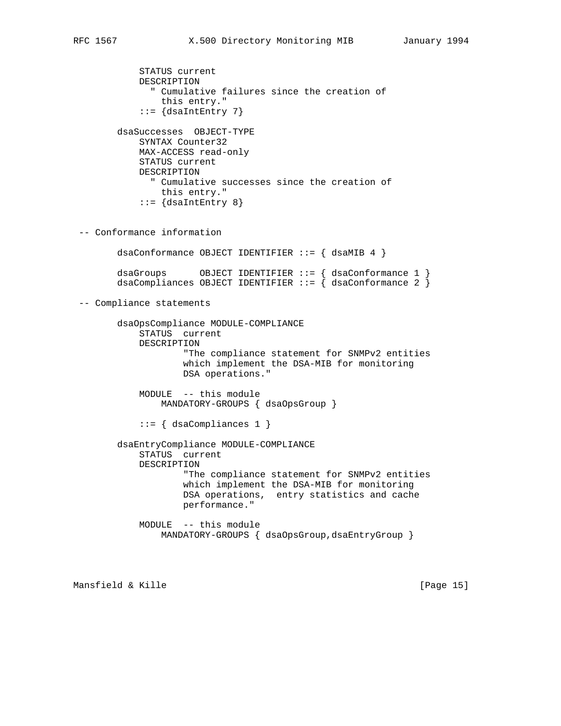STATUS current DESCRIPTION " Cumulative failures since the creation of this entry."  $::=$  {dsaIntEntry 7} dsaSuccesses OBJECT-TYPE SYNTAX Counter32 MAX-ACCESS read-only STATUS current DESCRIPTION " Cumulative successes since the creation of this entry."  $::= \{dsalntEntry 8\}$  -- Conformance information dsaConformance OBJECT IDENTIFIER ::= { dsaMIB 4 } dsaGroups  $OBJECT IDENTIFIER :: = \{ dsaConformance 1 \}$  dsaCompliances OBJECT IDENTIFIER ::= { dsaConformance 2 } -- Compliance statements dsaOpsCompliance MODULE-COMPLIANCE STATUS current DESCRIPTION "The compliance statement for SNMPv2 entities which implement the DSA-MIB for monitoring DSA operations." MODULE -- this module MANDATORY-GROUPS { dsaOpsGroup } ::= { dsaCompliances 1 } dsaEntryCompliance MODULE-COMPLIANCE STATUS current DESCRIPTION "The compliance statement for SNMPv2 entities which implement the DSA-MIB for monitoring DSA operations, entry statistics and cache performance." MODULE -- this module MANDATORY-GROUPS { dsaOpsGroup, dsaEntryGroup }

Mansfield & Kille [Page 15]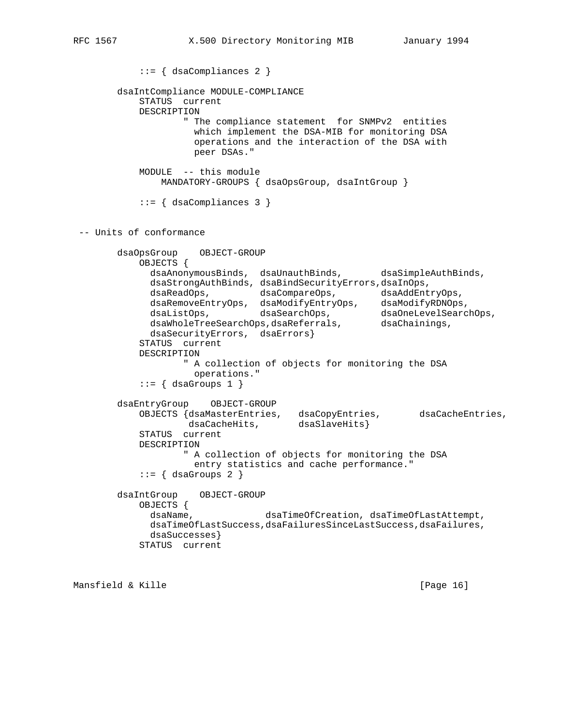```
 ::= { dsaCompliances 2 }
        dsaIntCompliance MODULE-COMPLIANCE
           STATUS current
           DESCRIPTION
                   " The compliance statement for SNMPv2 entities
                    which implement the DSA-MIB for monitoring DSA
                    operations and the interaction of the DSA with
                    peer DSAs."
           MODULE -- this module
               MANDATORY-GROUPS { dsaOpsGroup, dsaIntGroup }
          ::= { dsaCompliances 3 }
 -- Units of conformance
        dsaOpsGroup OBJECT-GROUP
           OBJECTS {
             dsaAnonymousBinds, dsaUnauthBinds, dsaSimpleAuthBinds,
             dsaStrongAuthBinds, dsaBindSecurityErrors,dsaInOps,
 dsaReadOps, dsaCompareOps, dsaAddEntryOps,
 dsaRemoveEntryOps, dsaModifyEntryOps, dsaModifyRDNOps,
 dsaListOps, dsaSearchOps, dsaOneLevelSearchOps,
dsaWholeTreeSearchOps,dsaReferrals, dsaChainings,
             dsaSecurityErrors, dsaErrors}
           STATUS current
           DESCRIPTION
                   " A collection of objects for monitoring the DSA
                    operations."
          ::= { dsaGroups 1 }
        dsaEntryGroup OBJECT-GROUP
 OBJECTS {dsaMasterEntries, dsaCopyEntries, dsaCacheEntries,
 dsaCacheHits, dsaSlaveHits}
           STATUS current
           DESCRIPTION
                   " A collection of objects for monitoring the DSA
                    entry statistics and cache performance."
          ::= \{ dsaGroups 2 \} dsaIntGroup OBJECT-GROUP
           OBJECTS {
             dsaName, dsaTimeOfCreation, dsaTimeOfLastAttempt,
             dsaTimeOfLastSuccess,dsaFailuresSinceLastSuccess,dsaFailures,
             dsaSuccesses}
           STATUS current
```
Mansfield & Kille [Page 16]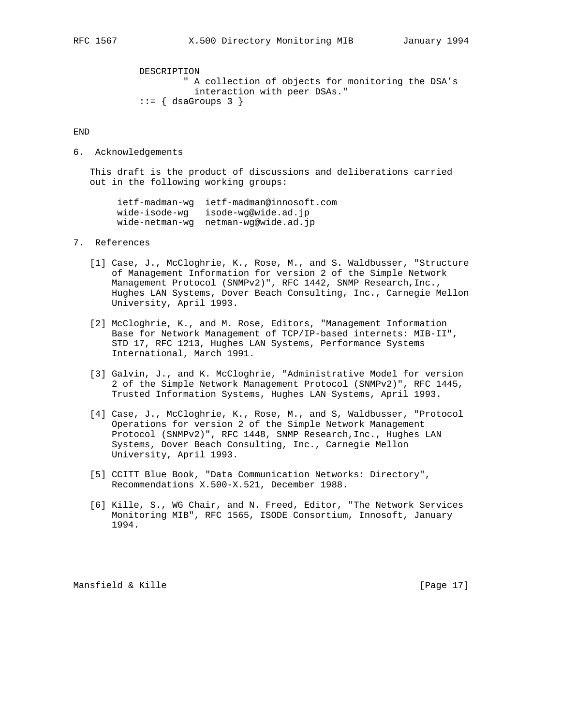DESCRIPTION " A collection of objects for monitoring the DSA's interaction with peer DSAs."  $::= \{$  dsaGroups 3  $\}$ 

END

6. Acknowledgements

 This draft is the product of discussions and deliberations carried out in the following working groups:

 ietf-madman-wg ietf-madman@innosoft.com wide-isode-wg isode-wg@wide.ad.jp wide-netman-wg netman-wg@wide.ad.jp

### 7. References

- [1] Case, J., McCloghrie, K., Rose, M., and S. Waldbusser, "Structure of Management Information for version 2 of the Simple Network Management Protocol (SNMPv2)", RFC 1442, SNMP Research, Inc., Hughes LAN Systems, Dover Beach Consulting, Inc., Carnegie Mellon University, April 1993.
- [2] McCloghrie, K., and M. Rose, Editors, "Management Information Base for Network Management of TCP/IP-based internets: MIB-II", STD 17, RFC 1213, Hughes LAN Systems, Performance Systems International, March 1991.
- [3] Galvin, J., and K. McCloghrie, "Administrative Model for version 2 of the Simple Network Management Protocol (SNMPv2)", RFC 1445, Trusted Information Systems, Hughes LAN Systems, April 1993.
- [4] Case, J., McCloghrie, K., Rose, M., and S, Waldbusser, "Protocol Operations for version 2 of the Simple Network Management Protocol (SNMPv2)", RFC 1448, SNMP Research,Inc., Hughes LAN Systems, Dover Beach Consulting, Inc., Carnegie Mellon University, April 1993.
- [5] CCITT Blue Book, "Data Communication Networks: Directory", Recommendations X.500-X.521, December 1988.
- [6] Kille, S., WG Chair, and N. Freed, Editor, "The Network Services Monitoring MIB", RFC 1565, ISODE Consortium, Innosoft, January 1994.

Mansfield & Kille [Page 17]